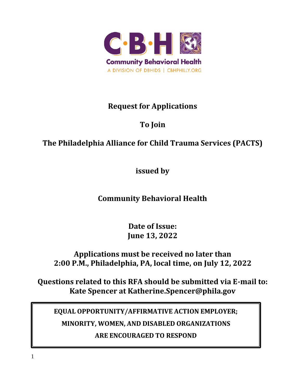

# **Request for Applications**

# **To Join**

# **The Philadelphia Alliance for Child Trauma Services (PACTS)**

**issued by**

# **Community Behavioral Health**

**Date of Issue: June 13, 2022**

**Applications must be received no later than 2:00 P.M., Philadelphia, PA, local time, on July 12, 2022**

**Questions related to this RFA should be submitted via E-mail to: Kate Spencer at Katherine.Spencer@phila.gov**

**EQUAL OPPORTUNITY/AFFIRMATIVE ACTION EMPLOYER; MINORITY, WOMEN, AND DISABLED ORGANIZATIONS ARE ENCOURAGED TO RESPOND**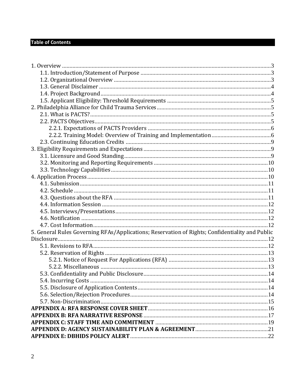### **Table of Contents**

| 5. General Rules Governing RFAs/Applications; Reservation of Rights; Confidentiality and Public |  |
|-------------------------------------------------------------------------------------------------|--|
|                                                                                                 |  |
|                                                                                                 |  |
|                                                                                                 |  |
|                                                                                                 |  |
|                                                                                                 |  |
|                                                                                                 |  |
|                                                                                                 |  |
|                                                                                                 |  |
|                                                                                                 |  |
|                                                                                                 |  |
|                                                                                                 |  |
|                                                                                                 |  |
|                                                                                                 |  |
|                                                                                                 |  |
|                                                                                                 |  |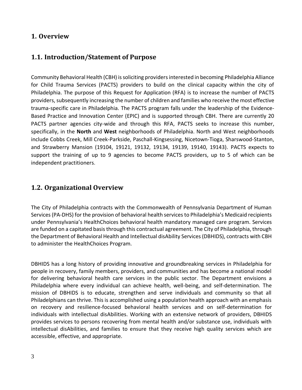#### <span id="page-2-0"></span>**1. Overview**

### <span id="page-2-1"></span>**1.1. Introduction/Statement of Purpose**

Community Behavioral Health (CBH) is soliciting providers interested in becoming Philadelphia Alliance for Child Trauma Services (PACTS) providers to build on the clinical capacity within the city of Philadelphia. The purpose of this Request for Application (RFA) is to increase the number of PACTS providers, subsequently increasing the number of children and families who receive the most effective trauma-specific care in Philadelphia. The PACTS program falls under the leadership of the Evidence-Based Practice and Innovation Center (EPIC) and is supported through CBH. There are currently 20 PACTS partner agencies city-wide and through this RFA, PACTS seeks to increase this number, specifically, in the **North** and **West** neighborhoods of Philadelphia. North and West neighborhoods include Cobbs Creek, Mill Creek-Parkside, Paschall-Kingsessing, Nicetown-Tioga, Sharswood-Stanton, and Strawberry Mansion (19104, 19121, 19132, 19134, 19139, 19140, 19143). PACTS expects to support the training of up to 9 agencies to become PACTS providers, up to 5 of which can be independent practitioners.

### <span id="page-2-2"></span>**1.2. Organizational Overview**

The City of Philadelphia contracts with the Commonwealth of Pennsylvania Department of Human Services (PA-DHS) for the provision of behavioral health services to Philadelphia's Medicaid recipients under Pennsylvania's HealthChoices behavioral health mandatory managed care program. Services are funded on a capitated basis through this contractual agreement. The City of Philadelphia, through the Department of Behavioral Health and Intellectual disAbility Services (DBHIDS), contracts with CBH to administer the HealthChoices Program.

DBHIDS has a long history of providing innovative and groundbreaking services in Philadelphia for people in recovery, family members, providers, and communities and has become a national model for delivering behavioral health care services in the public sector. The Department envisions a Philadelphia where every individual can achieve health, well-being, and self-determination. The mission of DBHIDS is to educate, strengthen and serve individuals and community so that all Philadelphians can thrive. This is accomplished using a population health approach with an emphasis on recovery and resilience-focused behavioral health services and on self-determination for individuals with intellectual disAbilities. Working with an extensive network of providers, DBHIDS provides services to persons recovering from mental health and/or substance use, individuals with intellectual disAbilities, and families to ensure that they receive high quality services which are accessible, effective, and appropriate.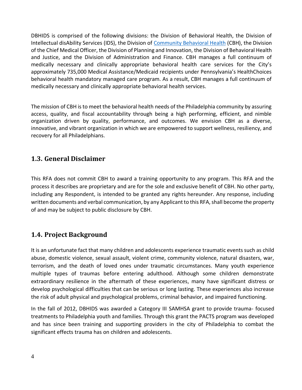DBHIDS is comprised of the following divisions: the Division of Behavioral Health, the Division of Intellectual disAbility Services (IDS), the Division of [Community Behavioral Health](https://cbhphilly.org/) (CBH), the Division of the Chief Medical Officer, the Division of Planning and Innovation, the Division of Behavioral Health and Justice, and the Division of Administration and Finance. CBH manages a full continuum of medically necessary and clinically appropriate behavioral health care services for the City's approximately 735,000 Medical Assistance/Medicaid recipients under Pennsylvania's HealthChoices behavioral health mandatory managed care program. As a result, CBH manages a full continuum of medically necessary and clinically appropriate behavioral health services.

The mission of CBH is to meet the behavioral health needs of the Philadelphia community by assuring access, quality, and fiscal accountability through being a high performing, efficient, and nimble organization driven by quality, performance, and outcomes. We envision CBH as a diverse, innovative, and vibrant organization in which we are empowered to support wellness, resiliency, and recovery for all Philadelphians.

### <span id="page-3-0"></span>**1.3. General Disclaimer**

This RFA does not commit CBH to award a training opportunity to any program. This RFA and the process it describes are proprietary and are for the sole and exclusive benefit of CBH. No other party, including any Respondent, is intended to be granted any rights hereunder. Any response, including written documents and verbal communication, by any Applicant to this RFA, shall become the property of and may be subject to public disclosure by CBH.

### <span id="page-3-1"></span>**1.4. Project Background**

It is an unfortunate fact that many children and adolescents experience traumatic events such as child abuse, domestic violence, sexual assault, violent crime, community violence, natural disasters, war, terrorism, and the death of loved ones under traumatic circumstances. Many youth experience multiple types of traumas before entering adulthood. Although some children demonstrate extraordinary resilience in the aftermath of these experiences, many have significant distress or develop psychological difficulties that can be serious or long lasting. These experiences also increase the risk of adult physical and psychological problems, criminal behavior, and impaired functioning.

In the fall of 2012, DBHIDS was awarded a Category III SAMHSA grant to provide trauma- focused treatments to Philadelphia youth and families. Through this grant the PACTS program was developed and has since been training and supporting providers in the city of Philadelphia to combat the significant effects trauma has on children and adolescents.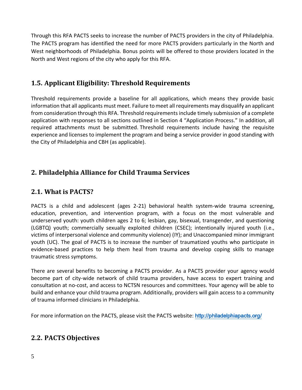Through this RFA PACTS seeks to increase the number of PACTS providers in the city of Philadelphia. The PACTS program has identified the need for more PACTS providers particularly in the North and West neighborhoods of Philadelphia. Bonus points will be offered to those providers located in the North and West regions of the city who apply for this RFA.

### <span id="page-4-0"></span>**1.5. Applicant Eligibility: Threshold Requirements**

Threshold requirements provide a baseline for all applications, which means they provide basic information that all applicants must meet. Failure to meet all requirements may disqualify an applicant from consideration through this RFA. Threshold requirements include timely submission of a complete application with responses to all sections outlined in Section 4 "Application Process." In addition, all required attachments must be submitted. Threshold requirements include having the requisite experience and licenses to implement the program and being a service provider in good standing with the City of Philadelphia and CBH (as applicable).

## <span id="page-4-1"></span>**2. Philadelphia Alliance for Child Trauma Services**

### <span id="page-4-2"></span>**2.1. What is PACTS?**

PACTS is a child and adolescent (ages 2-21) behavioral health system-wide trauma screening, education, prevention, and intervention program, with a focus on the most vulnerable and underserved youth: youth children ages 2 to 6; lesbian, gay, bisexual, transgender, and questioning (LGBTQ) youth; commercially sexually exploited children (CSEC); intentionally injured youth (i.e., victims of interpersonal violence and community violence) (IY); and Unaccompanied minor immigrant youth (UC). The goal of PACTS is to increase the number of traumatized youths who participate in evidence-based practices to help them heal from trauma and develop coping skills to manage traumatic stress symptoms.

There are several benefits to becoming a PACTS provider. As a PACTS provider your agency would become part of city-wide network of child trauma providers, have access to expert training and consultation at no-cost, and access to NCTSN resources and committees. Your agency will be able to build and enhance your child trauma program. Additionally, providers will gain access to a community of trauma informed clinicians in Philadelphia.

For more information on the PACTS, please visit the PACTS website: <http://philadelphiapacts.org/>

### <span id="page-4-3"></span>**2.2. PACTS Objectives**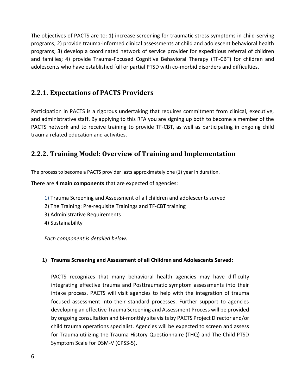The objectives of PACTS are to: 1) increase screening for traumatic stress symptoms in child-serving programs; 2) provide trauma-informed clinical assessments at child and adolescent behavioral health programs; 3) develop a coordinated network of service provider for expeditious referral of children and families; 4) provide Trauma-Focused Cognitive Behavioral Therapy (TF-CBT) for children and adolescents who have established full or partial PTSD with co-morbid disorders and difficulties.

### <span id="page-5-0"></span>**2.2.1. Expectations of PACTS Providers**

Participation in PACTS is a rigorous undertaking that requires commitment from clinical, executive, and administrative staff. By applying to this RFA you are signing up both to become a member of the PACTS network and to receive training to provide TF-CBT, as well as participating in ongoing child trauma related education and activities.

### <span id="page-5-1"></span>**2.2.2. Training Model: Overview of Training and Implementation**

The process to become a PACTS provider lasts approximately one (1) year in duration.

There are **4 main components** that are expected of agencies:

- 1) Trauma Screening and Assessment of all children and adolescents served
- 2) The Training: Pre-requisite Trainings and TF-CBT training
- 3) Administrative Requirements
- 4) Sustainability

*Each component is detailed below.*

#### **1) Trauma Screening and Assessment of all Children and Adolescents Served:**

PACTS recognizes that many behavioral health agencies may have difficulty integrating effective trauma and Posttraumatic symptom assessments into their intake process. PACTS will visit agencies to help with the integration of trauma focused assessment into their standard processes. Further support to agencies developing an effective Trauma Screening and Assessment Process will be provided by ongoing consultation and bi-monthly site visits by PACTS Project Director and/or child trauma operations specialist. Agencies will be expected to screen and assess for Trauma utilizing the Trauma History Questionnaire (THQ) and The Child PTSD Symptom Scale for DSM-V (CPSS-5).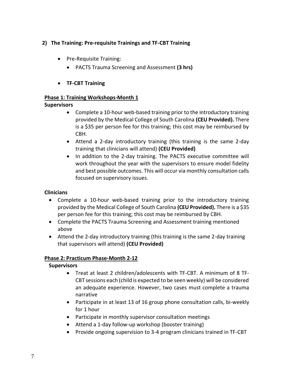#### **2) The Training: Pre-requisite Trainings and TF-CBT Training**

- Pre-Requisite Training:
	- PACTS Trauma Screening and Assessment **(3 hrs)**
- **TF-CBT Training**

#### **Phase 1: Training Workshops-Month 1**

#### **Supervisors**

- Complete a 10-hour web-based training prior to the introductory training provided by the Medical College of South Carolina **(CEU Provided).** There is a \$35 per person fee for this training; this cost may be reimbursed by CBH.
- Attend a 2-day introductory training (this training is the same 2-day training that clinicians will attend) **(CEU Provided)**
- In addition to the 2-day training. The PACTS executive committee will work throughout the year with the supervisors to ensure model fidelity and best possible outcomes. This will occur via monthly consultation calls focused on supervisory issues.

#### **Clinicians**

- Complete a 10-hour web-based training prior to the introductory training provided by the Medical College of South Carolina **(CEU Provided).** There is a \$35 per person fee for this training; this cost may be reimbursed by CBH.
- Complete the PACTS Trauma Screening and Assessment training mentioned above
- Attend the 2-day introductory training (this training is the same 2-day training that supervisors will attend) **(CEU Provided)**

#### **Phase 2: Practicum Phase-Month 2-12**

#### **Supervisors**

- Treat at least 2 children/adolescents with TF-CBT. A minimum of 8 TF-CBT sessions each (child is expected to be seen weekly) will be considered an adequate experience. However, two cases must complete a trauma narrative
- Participate in at least 13 of 16 group phone consultation calls, bi-weekly for 1 hour
- Participate in monthly supervisor consultation meetings
- Attend a 1-day follow-up workshop (booster training)
- Provide ongoing supervision to 3-4 program clinicians trained in TF-CBT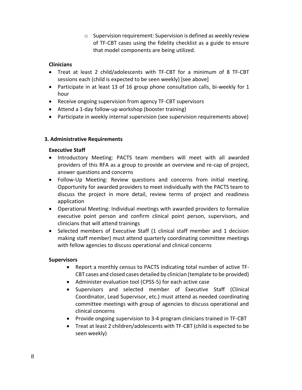o Supervision requirement: Supervision is defined as weekly review of TF-CBT cases using the fidelity checklist as a guide to ensure that model components are being utilized.

#### **Clinicians**

- Treat at least 2 child/adolescents with TF-CBT for a minimum of 8 TF-CBT sessions each (child is expected to be seen weekly) [see above]
- Participate in at least 13 of 16 group phone consultation calls, bi-weekly for 1 hour
- Receive ongoing supervision from agency TF-CBT supervisors
- Attend a 1-day follow-up workshop (booster training)
- Participate in weekly internal supervision (see supervision requirements above)

#### **3. Administrative Requirements**

#### **Executive Staff**

- Introductory Meeting: PACTS team members will meet with all awarded providers of this RFA as a group to provide an overview and re-cap of project, answer questions and concerns
- Follow-Up Meeting: Review questions and concerns from initial meeting. Opportunity for awarded providers to meet individually with the PACTS team to discuss the project in more detail, review terms of project and readiness application
- Operational Meeting: Individual meetings with awarded providers to formalize executive point person and confirm clinical point person, supervisors, and clinicians that will attend trainings
- Selected members of Executive Staff (1 clinical staff member and 1 decision making staff member) must attend quarterly coordinating committee meetings with fellow agencies to discuss operational and clinical concerns

#### **Supervisors**

- Report a monthly census to PACTS indicating total number of active TF-CBT cases and closed cases detailed by clinician (template to be provided)
- Administer evaluation tool (CPSS-5) for each active case
- Supervisors and selected member of Executive Staff (Clinical Coordinator, Lead Supervisor, etc.) must attend as needed coordinating committee meetings with group of agencies to discuss operational and clinical concerns
- Provide ongoing supervision to 3-4 program clinicians trained in TF-CBT
- Treat at least 2 children/adolescents with TF-CBT (child is expected to be seen weekly)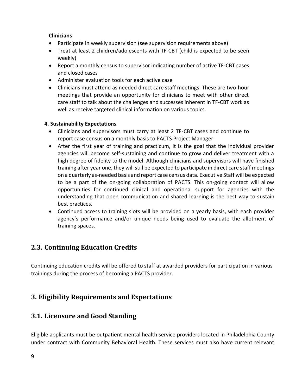#### **Clinicians**

- Participate in weekly supervision (see supervision requirements above)
- Treat at least 2 children/adolescents with TF-CBT (child is expected to be seen weekly)
- Report a monthly census to supervisor indicating number of active TF-CBT cases and closed cases
- Administer evaluation tools for each active case
- Clinicians must attend as needed direct care staff meetings. These are two-hour meetings that provide an opportunity for clinicians to meet with other direct care staff to talk about the challenges and successes inherent in TF-CBT work as well as receive targeted clinical information on various topics.

#### **4. Sustainability Expectations**

- Clinicians and supervisors must carry at least 2 TF-CBT cases and continue to report case census on a monthly basis to PACTS Project Manager
- After the first year of training and practicum, it is the goal that the individual provider agencies will become self-sustaining and continue to grow and deliver treatment with a high degree of fidelity to the model. Although clinicians and supervisors will have finished training after year one, they will still be expected to participate in direct care staff meetings on a quarterly as-needed basis and report case census data. Executive Staff will be expected to be a part of the on-going collaboration of PACTS. This on-going contact will allow opportunities for continued clinical and operational support for agencies with the understanding that open communication and shared learning is the best way to sustain best practices.
- Continued access to training slots will be provided on a yearly basis, with each provider agency's performance and/or unique needs being used to evaluate the allotment of training spaces.

# <span id="page-8-0"></span>**2.3. Continuing Education Credits**

Continuing education credits will be offered to staff at awarded providers for participation in various trainings during the process of becoming a PACTS provider.

## <span id="page-8-1"></span>**3. Eligibility Requirements and Expectations**

### <span id="page-8-2"></span>**3.1. Licensure and Good Standing**

Eligible applicants must be outpatient mental health service providers located in Philadelphia County under contract with Community Behavioral Health. These services must also have current relevant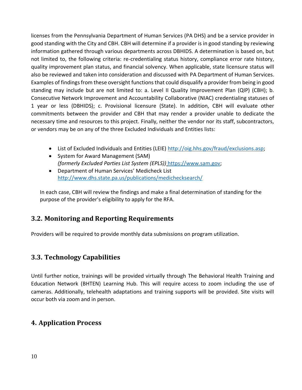licenses from the Pennsylvania Department of Human Services (PA DHS) and be a service provider in good standing with the City and CBH. CBH will determine if a provider is in good standing by reviewing information gathered through various departments across DBHIDS. A determination is based on, but not limited to, the following criteria: re-credentialing status history, compliance error rate history, quality improvement plan status, and financial solvency. When applicable, state licensure status will also be reviewed and taken into consideration and discussed with PA Department of Human Services. Examples of findings from these oversight functions that could disqualify a provider from being in good standing may include but are not limited to: a. Level II Quality Improvement Plan (QIP) (CBH); b. Consecutive Network Improvement and Accountability Collaborative (NIAC) credentialing statuses of 1 year or less (DBHIDS); c. Provisional licensure (State). In addition, CBH will evaluate other commitments between the provider and CBH that may render a provider unable to dedicate the necessary time and resources to this project. Finally, neither the vendor nor its staff, subcontractors, or vendors may be on any of the three Excluded Individuals and Entities lists:

- List of Excluded Individuals and Entities (LEIE) [http://oig.hhs.gov/fraud/exclusions.asp;](http://oig.hhs.gov/fraud/exclusions.asp)
- System for Award Management (SAM) *(formerly Excluded Parties List System (EPLS))* [https://www.sam.gov;](https://www.sam.gov/)
- Department of Human Services' Medicheck List <http://www.dhs.state.pa.us/publications/medichecksearch/>

In each case, CBH will review the findings and make a final determination of standing for the purpose of the provider's eligibility to apply for the RFA.

### <span id="page-9-0"></span>**3.2. Monitoring and Reporting Requirements**

Providers will be required to provide monthly data submissions on program utilization.

### <span id="page-9-1"></span>**3.3. Technology Capabilities**

Until further notice, trainings will be provided virtually through The Behavioral Health Training and Education Network (BHTEN) Learning Hub. This will require access to zoom including the use of cameras. Additionally, telehealth adaptations and training supports will be provided. Site visits will occur both via zoom and in person.

### <span id="page-9-2"></span>**4. Application Process**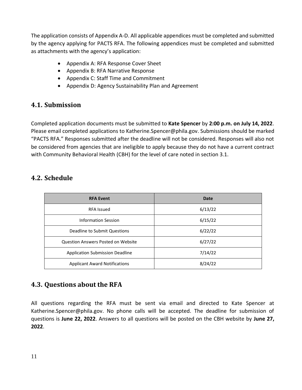The application consists of Appendix A-D. All applicable appendices must be completed and submitted by the agency applying for PACTS RFA. The following appendices must be completed and submitted as attachments with the agency's application:

- Appendix A: RFA Response Cover Sheet
- Appendix B: RFA Narrative Response
- Appendix C: Staff Time and Commitment
- Appendix D: Agency Sustainability Plan and Agreement

### <span id="page-10-0"></span>**4.1. Submission**

Completed application documents must be submitted to **Kate Spencer** by **2:00 p.m. on July 14, 2022**. Please email completed applications to Katherine.Spencer@phila.gov. Submissions should be marked "PACTS RFA." Responses submitted after the deadline will not be considered. Responses will also not be considered from agencies that are ineligible to apply because they do not have a current contract with Community Behavioral Health (CBH) for the level of care noted in section 3.1.

### <span id="page-10-1"></span>**4.2. Schedule**

| <b>RFA Event</b>                          | Date    |  |
|-------------------------------------------|---------|--|
| RFA Issued                                | 6/13/22 |  |
| Information Session                       | 6/15/22 |  |
| Deadline to Submit Questions              | 6/22/22 |  |
| <b>Question Answers Posted on Website</b> | 6/27/22 |  |
| <b>Application Submission Deadline</b>    | 7/14/22 |  |
| <b>Applicant Award Notifications</b>      | 8/24/22 |  |

### <span id="page-10-2"></span>**4.3. Questions about the RFA**

All questions regarding the RFA must be sent via email and directed to Kate Spencer at Katherine.Spencer@phila.gov. No phone calls will be accepted. The deadline for submission of questions is **June 22, 2022**. Answers to all questions will be posted on the CBH website by **June 27, 2022**.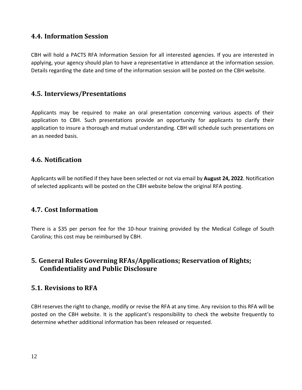### <span id="page-11-0"></span>**4.4. Information Session**

CBH will hold a PACTS RFA Information Session for all interested agencies. If you are interested in applying, your agency should plan to have a representative in attendance at the information session. Details regarding the date and time of the information session will be posted on the CBH website.

### <span id="page-11-1"></span>**4.5. Interviews/Presentations**

Applicants may be required to make an oral presentation concerning various aspects of their application to CBH. Such presentations provide an opportunity for applicants to clarify their application to insure a thorough and mutual understanding. CBH will schedule such presentations on an as needed basis.

### <span id="page-11-2"></span>**4.6. Notification**

Applicants will be notified if they have been selected or not via email by **August 24, 2022**. Notification of selected applicants will be posted on the CBH website below the original RFA posting.

### <span id="page-11-3"></span>**4.7. Cost Information**

There is a \$35 per person fee for the 10-hour training provided by the Medical College of South Carolina; this cost may be reimbursed by CBH.

### <span id="page-11-4"></span>**5. General Rules Governing RFAs/Applications; Reservation of Rights; Confidentiality and Public Disclosure**

### <span id="page-11-5"></span>**5.1. Revisions to RFA**

CBH reserves the right to change, modify or revise the RFA at any time. Any revision to this RFA will be posted on the CBH website. It is the applicant's responsibility to check the website frequently to determine whether additional information has been released or requested.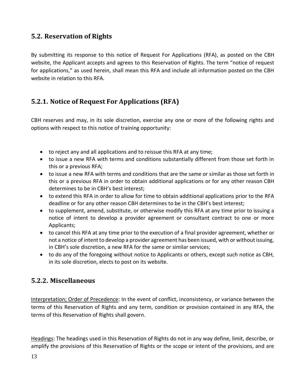### <span id="page-12-0"></span>**5.2. Reservation of Rights**

By submitting its response to this notice of Request For Applications (RFA), as posted on the CBH website, the Applicant accepts and agrees to this Reservation of Rights. The term "notice of request for applications," as used herein, shall mean this RFA and include all information posted on the CBH website in relation to this RFA.

### <span id="page-12-1"></span>**5.2.1. Notice of Request For Applications (RFA)**

CBH reserves and may, in its sole discretion, exercise any one or more of the following rights and options with respect to this notice of training opportunity:

- to reject any and all applications and to reissue this RFA at any time;
- to issue a new RFA with terms and conditions substantially different from those set forth in this or a previous RFA;
- to issue a new RFA with terms and conditions that are the same or similar as those set forth in this or a previous RFA in order to obtain additional applications or for any other reason CBH determines to be in CBH's best interest;
- to extend this RFA in order to allow for time to obtain additional applications prior to the RFA deadline or for any other reason CBH determines to be in the CBH's best interest;
- to supplement, amend, substitute, or otherwise modify this RFA at any time prior to issuing a notice of intent to develop a provider agreement or consultant contract to one or more Applicants;
- to cancel this RFA at any time prior to the execution of a final provider agreement, whether or not a notice of intent to develop a provider agreement has been issued, with or without issuing, in CBH's sole discretion, a new RFA for the same or similar services;
- to do any of the foregoing without notice to Applicants or others, except such notice as CBH, in its sole discretion, elects to post on its website.

### <span id="page-12-2"></span>**5.2.2. Miscellaneous**

Interpretation; Order of Precedence: In the event of conflict, inconsistency, or variance between the terms of this Reservation of Rights and any term, condition or provision contained in any RFA, the terms of this Reservation of Rights shall govern.

Headings: The headings used in this Reservation of Rights do not in any way define, limit, describe, or amplify the provisions of this Reservation of Rights or the scope or intent of the provisions, and are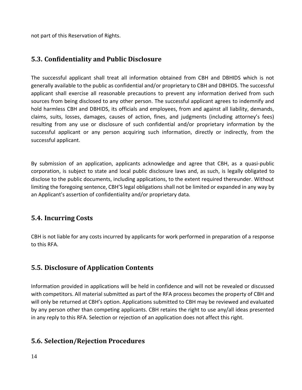not part of this Reservation of Rights.

### <span id="page-13-0"></span>**5.3. Confidentiality and Public Disclosure**

The successful applicant shall treat all information obtained from CBH and DBHIDS which is not generally available to the public as confidential and/or proprietary to CBH and DBHIDS. The successful applicant shall exercise all reasonable precautions to prevent any information derived from such sources from being disclosed to any other person. The successful applicant agrees to indemnify and hold harmless CBH and DBHIDS, its officials and employees, from and against all liability, demands, claims, suits, losses, damages, causes of action, fines, and judgments (including attorney's fees) resulting from any use or disclosure of such confidential and/or proprietary information by the successful applicant or any person acquiring such information, directly or indirectly, from the successful applicant.

By submission of an application, applicants acknowledge and agree that CBH, as a quasi-public corporation, is subject to state and local public disclosure laws and, as such, is legally obligated to disclose to the public documents, including applications, to the extent required thereunder. Without limiting the foregoing sentence, CBH'S legal obligations shall not be limited or expanded in any way by an Applicant's assertion of confidentiality and/or proprietary data.

### <span id="page-13-1"></span>**5.4. Incurring Costs**

CBH is not liable for any costs incurred by applicants for work performed in preparation of a response to this RFA.

### <span id="page-13-2"></span>**5.5. Disclosure of Application Contents**

Information provided in applications will be held in confidence and will not be revealed or discussed with competitors. All material submitted as part of the RFA process becomes the property of CBH and will only be returned at CBH's option. Applications submitted to CBH may be reviewed and evaluated by any person other than competing applicants. CBH retains the right to use any/all ideas presented in any reply to this RFA. Selection or rejection of an application does not affect this right.

### <span id="page-13-3"></span>**5.6. Selection/Rejection Procedures**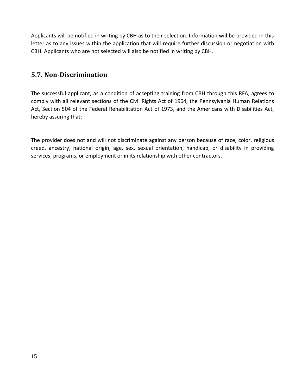Applicants will be notified in writing by CBH as to their selection. Information will be provided in this letter as to any issues within the application that will require further discussion or negotiation with CBH. Applicants who are not selected will also be notified in writing by CBH.

### <span id="page-14-0"></span>**5.7. Non-Discrimination**

The successful applicant, as a condition of accepting training from CBH through this RFA, agrees to comply with all relevant sections of the Civil Rights Act of 1964, the Pennsylvania Human Relations Act, Section 504 of the Federal Rehabilitation Act of 1973, and the Americans with Disabilities Act, hereby assuring that:

The provider does not and will not discriminate against any person because of race, color, religious creed, ancestry, national origin, age, sex, sexual orientation, handicap, or disability in providing services, programs, or employment or in its relationship with other contractors.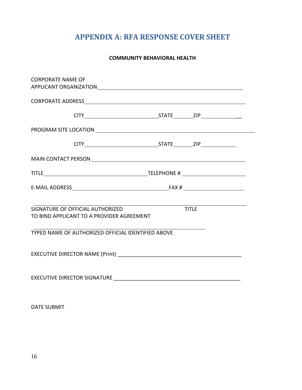# **APPENDIX A: RFA RESPONSE COVER SHEET**

#### **COMMUNITY BEHAVIORAL HEALTH**

<span id="page-15-0"></span>

| CORPORATE NAME OF                                                                             |  |  |  |
|-----------------------------------------------------------------------------------------------|--|--|--|
|                                                                                               |  |  |  |
|                                                                                               |  |  |  |
|                                                                                               |  |  |  |
|                                                                                               |  |  |  |
|                                                                                               |  |  |  |
|                                                                                               |  |  |  |
|                                                                                               |  |  |  |
| <b>TITLE</b><br>SIGNATURE OF OFFICIAL AUTHORIZED<br>TO BIND APPLICANT TO A PROVIDER AGREEMENT |  |  |  |
| TYPED NAME OF AUTHORIZED OFFICIAL IDENTIFIED ABOVE                                            |  |  |  |
|                                                                                               |  |  |  |
|                                                                                               |  |  |  |

DATE SUBMIT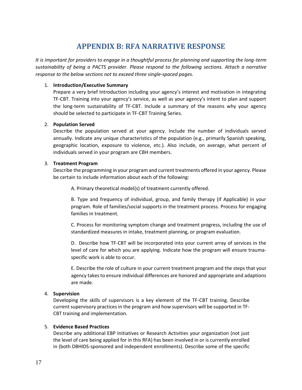# **APPENDIX B: RFA NARRATIVE RESPONSE**

<span id="page-16-0"></span>*It is important for providers to engage in a thoughtful process for planning and supporting the long-term sustainability of being a PACTS provider. Please respond to the following sections. Attach a narrative response to the below sections not to exceed three single-spaced pages.*

#### 1. **Introduction/Executive Summary**

Prepare a very brief Introduction including your agency's interest and motivation in integrating TF-CBT. Training into your agency's service, as well as your agency's intent to plan and support the long-term sustainability of TF-CBT. Include a summary of the reasons why your agency should be selected to participate in TF-CBT Training Series.

#### 2. **Population Served**

Describe the population served at your agency. Include the number of individuals served annually. Indicate any unique characteristics of the population (e.g., primarily Spanish speaking, geographic location, exposure to violence, etc.). Also include, on average, what percent of individuals served in your program are CBH members.

#### 3. **Treatment Program**

Describe the programming in your program and current treatments offered in your agency. Please be certain to include information about each of the following:

A. Primary theoretical model(s) of treatment currently offered.

B. Type and frequency of individual, group, and family therapy (if Applicable) in your program. Role of families/social supports in the treatment process. Process for engaging families in treatment.

C. Process for monitoring symptom change and treatment progress, including the use of standardized measures in intake, treatment planning, or program evaluation.

D. Describe how TF-CBT will be incorporated into your current array of services in the level of care for which you are applying. Indicate how the program will ensure traumaspecific work is able to occur.

E. Describe the role of culture in your current treatment program and the steps that your agency takes to ensure individual differences are honored and appropriate and adaptions are made.

#### 4. **Supervision**

Developing the skills of supervisors is a key element of the TF-CBT training. Describe current supervisory practices in the program and how supervisors will be supported in TF-CBT training and implementation.

#### 5. **Evidence Based Practices**

Describe any additional EBP Initiatives or Research Activities your organization (not just the level of care being applied for in this RFA) has been involved in or is currently enrolled in (both DBHIDS-sponsored and independent enrollments). Describe some of the specific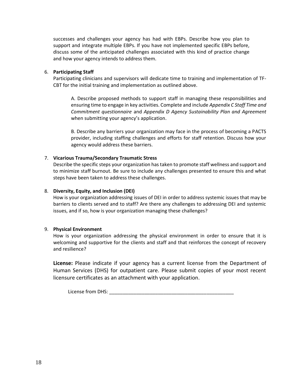successes and challenges your agency has had with EBPs. Describe how you plan to support and integrate multiple EBPs. If you have not implemented specific EBPs before, discuss some of the anticipated challenges associated with this kind of practice change and how your agency intends to address them.

#### 6. **Participating Staff**

Participating clinicians and supervisors will dedicate time to training and implementation of TF-CBT for the initial training and implementation as outlined above.

A. Describe proposed methods to support staff in managing these responsibilities and ensuring time to engage in key activities. Complete and include *Appendix C Staff Time and Commitment questionnaire* and *Appendix D Agency Sustainability Plan and Agreement* when submitting your agency's application.

B. Describe any barriers your organization may face in the process of becoming a PACTS provider, including staffing challenges and efforts for staff retention. Discuss how your agency would address these barriers.

#### 7. **Vicarious Trauma/Secondary Traumatic Stress**

Describe the specific steps your organization has taken to promote staff wellness and support and to minimize staff burnout. Be sure to include any challenges presented to ensure this and what steps have been taken to address these challenges.

#### 8. **Diversity, Equity, and Inclusion (DEI)**

How is your organization addressing issues of DEI in order to address systemic issues that may be barriers to clients served and to staff? Are there any challenges to addressing DEI and systemic issues, and if so, how is your organization managing these challenges?

#### 9. **Physical Environment**

How is your organization addressing the physical environment in order to ensure that it is welcoming and supportive for the clients and staff and that reinforces the concept of recovery and resilience?

**License:** Please indicate if your agency has a current license from the Department of Human Services (DHS) for outpatient care. Please submit copies of your most recent licensure certificates as an attachment with your application.

License from DHS: \_\_\_\_\_\_\_\_\_\_\_\_\_\_\_\_\_\_\_\_\_\_\_\_\_\_\_\_\_\_\_\_\_\_\_\_\_\_\_\_\_\_\_\_\_\_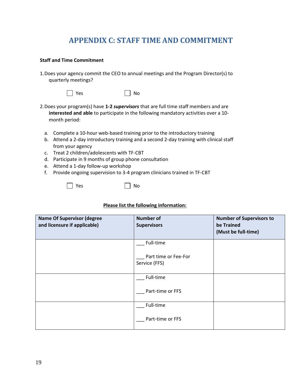## **APPENDIX C: STAFF TIME AND COMMITMENT**

#### <span id="page-18-0"></span>**Staff and Time Commitment**

1.Does your agency commit the CEO to annual meetings and the Program Director(s) to quarterly meetings?



- 2.Does your program(s) have **1-2** *supervisors* that are full time staff members and are **interested and able** to participate in the following mandatory activities over a 10 month period:
	- a. Complete a 10-hour web-based training prior to the introductory training
	- b. Attend a 2-day introductory training and a second 2-day training with clinical staff from your agency
	- c. Treat 2 children/adolescents with TF-CBT
	- d. Participate in 9 months of group phone consultation
	- e. Attend a 1-day follow-up workshop
	- f. Provide ongoing supervision to 3-4 program clinicians trained in TF-CBT

|  | I |
|--|---|
|--|---|

Yes II No

#### **Please list the following information:**

| <b>Name Of Supervisor (degree</b><br>and licensure if applicable) | <b>Number of</b><br><b>Supervisors</b>             | <b>Number of Supervisors to</b><br>be Trained<br>(Must be full-time) |
|-------------------------------------------------------------------|----------------------------------------------------|----------------------------------------------------------------------|
|                                                                   | Full-time<br>Part time or Fee-For<br>Service (FFS) |                                                                      |
|                                                                   | Full-time<br>Part-time or FFS                      |                                                                      |
|                                                                   | Full-time<br>Part-time or FFS                      |                                                                      |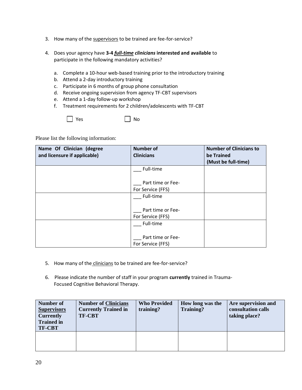- 3. How many of the supervisors to be trained are fee-for-service?
- 4. Does your agency have **3-4** *full-time clinicians* **interested and available** to participate in the following mandatory activities?
	- a. Complete a 10-hour web-based training prior to the introductory training
	- b. Attend a 2-day introductory training
	- c. Participate in 6 months of group phone consultation
	- d. Receive ongoing supervision from agency TF-CBT supervisors
	- e. Attend a 1-day follow-up workshop
	- f. Treatment requirements for 2 children/adolescents with TF-CBT

 $\Box$  Yes  $\Box$  No

Please list the following information:

| Name Of Clinician (degree    | <b>Number of</b>  | <b>Number of Clinicians to</b> |
|------------------------------|-------------------|--------------------------------|
| and licensure if applicable) | <b>Clinicians</b> | be Trained                     |
|                              |                   | (Must be full-time)            |
|                              | Full-time         |                                |
|                              |                   |                                |
|                              | Part time or Fee- |                                |
|                              | For Service (FFS) |                                |
|                              | Full-time         |                                |
|                              |                   |                                |
|                              | Part time or Fee- |                                |
|                              | For Service (FFS) |                                |
|                              | Full-time         |                                |
|                              |                   |                                |
|                              | Part time or Fee- |                                |
|                              | For Service (FFS) |                                |

- 5. How many of the clinicians to be trained are fee-for-service?
- 6. Please indicate the number of staff in your program **currently** trained in Trauma-Focused Cognitive Behavioral Therapy.

| Number of<br><b>Supervisors</b><br><b>Currently</b><br><b>Trained in</b><br><b>TF-CBT</b> | <b>Number of Clinicians</b><br><b>Currently Trained in</b><br><b>TF-CBT</b> | <b>Who Provided</b><br>training? | How long was the<br><b>Training?</b> | Are supervision and<br>consultation calls<br>taking place? |
|-------------------------------------------------------------------------------------------|-----------------------------------------------------------------------------|----------------------------------|--------------------------------------|------------------------------------------------------------|
|                                                                                           |                                                                             |                                  |                                      |                                                            |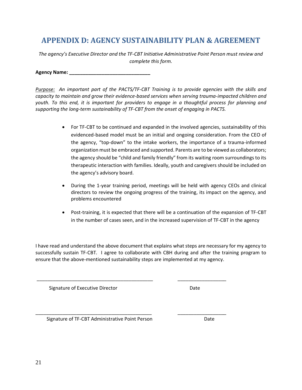## <span id="page-20-0"></span>**APPENDIX D: AGENCY SUSTAINABILITY PLAN & AGREEMENT**

*The agency's Executive Director and the TF-CBT Initiative Administrative Point Person must review and complete this form.*

**Agency Name: \_\_\_\_\_\_\_\_\_\_\_\_\_\_\_\_\_\_\_\_\_\_\_\_\_\_\_\_\_\_**

*Purpose: An important part of the PACTS/TF-CBT Training is to provide agencies with the skills and capacity to maintain and grow their evidence-based services when serving trauma-impacted children and youth. To this end, it is important for providers to engage in a thoughtful process for planning and supporting the long-term sustainability of TF-CBT from the onset of engaging in PACTS.*

- For TF-CBT to be continued and expanded in the involved agencies, sustainability of this evidenced-based model must be an initial and ongoing consideration. From the CEO of the agency, "top-down" to the intake workers, the importance of a trauma-informed organization must be embraced and supported. Parents are to be viewed as collaborators; the agency should be "child and family friendly" from its waiting room surroundings to its therapeutic interaction with families. Ideally, youth and caregivers should be included on the agency's advisory board.
- During the 1-year training period, meetings will be held with agency CEOs and clinical directors to review the ongoing progress of the training, its impact on the agency, and problems encountered
- Post-training, it is expected that there will be a continuation of the expansion of TF-CBT in the number of cases seen, and in the increased supervision of TF-CBT in the agency

I have read and understand the above document that explains what steps are necessary for my agency to successfully sustain TF-CBT. I agree to collaborate with CBH during and after the training program to ensure that the above-mentioned sustainability steps are implemented at my agency.

\_\_\_\_\_\_\_\_\_\_\_\_\_\_\_\_\_\_\_\_\_\_\_\_\_\_\_\_\_\_\_\_\_\_\_\_\_\_\_\_\_\_\_ \_\_\_\_\_\_\_\_\_\_\_\_\_\_\_\_\_\_

\_\_\_\_\_\_\_\_\_\_\_\_\_\_\_\_\_\_\_\_\_\_\_\_\_\_\_\_\_\_\_\_\_\_\_\_\_\_\_\_\_\_\_ \_\_\_\_\_\_\_\_\_\_\_\_\_\_\_\_\_\_

Signature of Executive Director **Date** Date

Signature of TF-CBT Administrative Point Person Date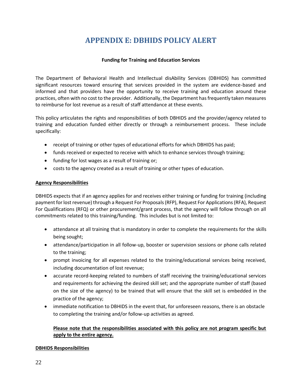# **APPENDIX E: DBHIDS POLICY ALERT**

#### **Funding for Training and Education Services**

<span id="page-21-0"></span>The Department of Behavioral Health and Intellectual disAbility Services (DBHIDS) has committed significant resources toward ensuring that services provided in the system are evidence-based and informed and that providers have the opportunity to receive training and education around these practices, often with no cost to the provider. Additionally, the Department has frequently taken measures to reimburse for lost revenue as a result of staff attendance at these events.

This policy articulates the rights and responsibilities of both DBHIDS and the provider/agency related to training and education funded either directly or through a reimbursement process. These include specifically:

- receipt of training or other types of educational efforts for which DBHIDS has paid;
- funds received or expected to receive with which to enhance services through training;
- funding for lost wages as a result of training or;
- costs to the agency created as a result of training or other types of education.

#### **Agency Responsibilities**

DBHIDS expects that if an agency applies for and receives either training or funding for training (including payment for lost revenue) through a Request For Proposals (RFP), Request For Applications (RFA), Request For Qualifications (RFQ) or other procurement/grant process, that the agency will follow through on all commitments related to this training/funding. This includes but is not limited to:

- attendance at all training that is mandatory in order to complete the requirements for the skills being sought;
- attendance/participation in all follow-up, booster or supervision sessions or phone calls related to the training;
- prompt invoicing for all expenses related to the training/educational services being received, including documentation of lost revenue;
- accurate record-keeping related to numbers of staff receiving the training/educational services and requirements for achieving the desired skill set; and the appropriate number of staff (based on the size of the agency) to be trained that will ensure that the skill set is embedded in the practice of the agency;
- immediate notification to DBHIDS in the event that, for unforeseen reasons, there is an obstacle to completing the training and/or follow-up activities as agreed.

#### **Please note that the responsibilities associated with this policy are not program specific but apply to the entire agency.**

#### **DBHIDS Responsibilities**